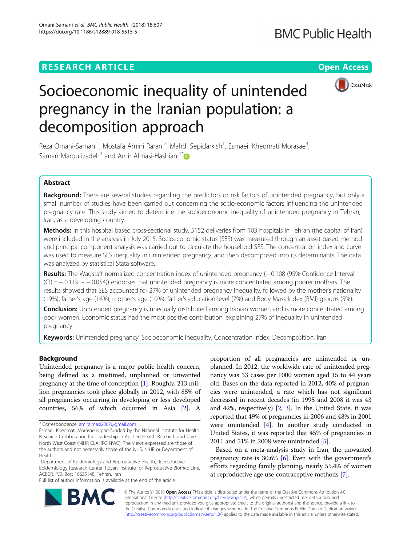## **RESEARCH ARTICLE Example 2014 12:30 The Open Access**



# Socioeconomic inequality of unintended pregnancy in the Iranian population: a decomposition approach

Reza Omani-Samani<sup>1</sup>, Mostafa Amini Rarani<sup>2</sup>, Mahdi Sepidarkish<sup>1</sup>, Esmaeil Khedmati Morasae<sup>3</sup> , Saman Maroufizadeh<sup>1</sup> and Amir Almasi-Hashiani<sup>1[\\*](http://orcid.org/0000-0003-4434-561X)</sup>

## Abstract

Background: There are several studies regarding the predictors or risk factors of unintended pregnancy, but only a small number of studies have been carried out concerning the socio-economic factors influencing the unintended pregnancy rate. This study aimed to determine the socioeconomic inequality of unintended pregnancy in Tehran, Iran, as a developing country.

Methods: In this hospital based cross-sectional study, 5152 deliveries from 103 hospitals in Tehran (the capital of Iran) were included in the analysis in July 2015. Socioeconomic status (SES) was measured through an asset-based method and principal component analysis was carried out to calculate the household SES. The concentration index and curve was used to measure SES inequality in unintended pregnancy, and then decomposed into its determinants. The data was analyzed by statistical Stata software.

Results: The Wagstaff normalized concentration index of unintended pregnancy (−0.108 (95% Confidence Interval  $(CI) = -0.119 \sim -0.054$ ) endorses that unintended pregnancy is more concentrated among poorer mothers. The results showed that SES accounted for 27% of unintended pregnancy inequality, followed by the mother's nationality (19%), father's age (16%), mother's age (10%), father's education level (7%) and Body Mass Index (BMI) groups (5%).

**Conclusion:** Unintended pregnancy is unequally distributed among Iranian women and is more concentrated among poor women. Economic status had the most positive contribution, explaining 27% of inequality in unintended pregnancy.

Keywords: Unintended pregnancy, Socioeconomic inequality, Concentration index, Decomposition, Iran

## Background

Unintended pregnancy is a major public health concern, being defined as a mistimed, unplanned or unwanted pregnancy at the time of conception [[1\]](#page-6-0). Roughly, 213 million pregnancies took place globally in 2012, with 85% of all pregnancies occurring in developing or less developed countries, 56% of which occurred in Asia [\[2](#page-6-0)]. A

<sup>1</sup>Department of Epidemiology and Reproductive Health, Reproductive Epidemiology Research Center, Royan Institute for Reproductive Biomedicine, ACECR, P.O. Box: 16635148, Tehran, Iran

Full list of author information is available at the end of the article

proportion of all pregnancies are unintended or unplanned. In 2012, the worldwide rate of unintended pregnancy was 53 cases per 1000 women aged 15 to 44 years old. Bases on the data reported in 2012, 40% of pregnancies were unintended, a rate which has not significant decreased in recent decades (in 1995 and 2008 it was 43 and 42%, respectively) [[2,](#page-6-0) [3](#page-6-0)]. In the United State, it was reported that 49% of pregnancies in 2006 and 48% in 2001 were unintended [\[4](#page-6-0)]. In another study conducted in United States, it was reported that 45% of pregnancies in 2011 and 51% in 2008 were unintended [\[5](#page-6-0)].

Based on a meta-analysis study in Iran, the unwanted pregnancy rate is 30.6% [[6\]](#page-6-0). Even with the government's efforts regarding family planning, nearly 55.4% of women at reproductive age use contraceptive methods [\[7](#page-6-0)].



© The Author(s). 2018 Open Access This article is distributed under the terms of the Creative Commons Attribution 4.0 International License [\(http://creativecommons.org/licenses/by/4.0/](http://creativecommons.org/licenses/by/4.0/)), which permits unrestricted use, distribution, and reproduction in any medium, provided you give appropriate credit to the original author(s) and the source, provide a link to the Creative Commons license, and indicate if changes were made. The Creative Commons Public Domain Dedication waiver [\(http://creativecommons.org/publicdomain/zero/1.0/](http://creativecommons.org/publicdomain/zero/1.0/)) applies to the data made available in this article, unless otherwise stated.

<sup>\*</sup> Correspondence: [amiralmasi2007@gmail.com](mailto:amiralmasi2007@gmail.com)

Esmaeil Khedmati Morasae is part-funded by the National Institute for Health Research Collaboration for Leadership in Applied Health Research and Care North West Coast (NIHR CLAHRC NWC). The views expressed are those of the authors and not necessarily those of the NHS, NIHR or Department of Health.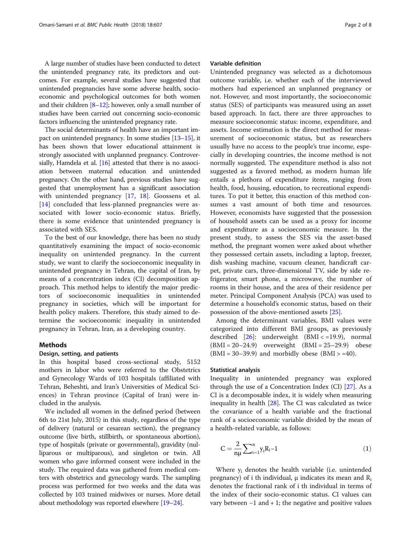A large number of studies have been conducted to detect the unintended pregnancy rate, its predictors and outcomes. For example, several studies have suggested that unintended pregnancies have some adverse health, socioeconomic and psychological outcomes for both women and their children  $[8-12]$  $[8-12]$  $[8-12]$  $[8-12]$ ; however, only a small number of studies have been carried out concerning socio-economic factors influencing the unintended pregnancy rate.

The social determinants of health have an important impact on unintended pregnancy. In some studies [\[13](#page-6-0)–[15](#page-6-0)], it has been shown that lower educational attainment is strongly associated with unplanned pregnancy. Controver-sially, Hamdela et al. [\[16\]](#page-6-0) attested that there is no association between maternal education and unintended pregnancy. On the other hand, previous studies have suggested that unemployment has a significant association with unintended pregnancy [[17,](#page-6-0) [18](#page-6-0)]. Goossens et al. [[14\]](#page-6-0) concluded that less-planned pregnancies were associated with lower socio-economic status. Briefly, there is some evidence that unintended pregnancy is associated with SES.

To the best of our knowledge, there has been no study quantitatively examining the impact of socio-economic inequality on unintended pregnancy. In the current study, we want to clarify the socioeconomic inequality in unintended pregnancy in Tehran, the capital of Iran, by means of a concentration index (CI) decomposition approach. This method helps to identify the major predictors of socioeconomic inequalities in unintended pregnancy in societies, which will be important for health policy makers. Therefore, this study aimed to determine the socioeconomic inequality in unintended pregnancy in Tehran, Iran, as a developing country.

#### Methods

## Design, setting, and patients

In this hospital based cross-sectional study, 5152 mothers in labor who were referred to the Obstetrics and Gynecology Wards of 103 hospitals (affiliated with Tehran, Beheshti, and Iran's Universities of Medical Sciences) in Tehran province (Capital of Iran) were included in the analysis.

We included all women in the defined period (between 6th to 21st July, 2015) in this study, regardless of the type of delivery (natural or cesarean section), the pregnancy outcome (live birth, stillbirth, or spontaneous abortion), type of hospitals (private or governmental), gravidity (nulliparous or multiparous), and singleton or twin. All women who gave informed consent were included in the study. The required data was gathered from medical centers with obstetrics and gynecology wards. The sampling process was performed for two weeks and the data was collected by 103 trained midwives or nurses. More detail about methodology was reported elsewhere [[19](#page-6-0)–[24](#page-6-0)].

## Variable definition

Unintended pregnancy was selected as a dichotomous outcome variable, i.e. whether each of the interviewed mothers had experienced an unplanned pregnancy or not. However, and most importantly, the socioeconomic status (SES) of participants was measured using an asset based approach. In fact, there are three approaches to measure socioeconomic status: income, expenditure, and assets. Income estimation is the direct method for measurement of socioeconomic status, but as researchers usually have no access to the people's true income, especially in developing countries, the income method is not normally suggested. The expenditure method is also not suggested as a favored method, as modern human life entails a plethora of expenditure items, ranging from health, food, housing, education, to recreational expenditures. To put it better, this enaction of this method consumes a vast amount of both time and resources. However, economists have suggested that the possession of household assets can be used as a proxy for income and expenditure as a socioeconomic measure. In the present study, to assess the SES via the asset-based method, the pregnant women were asked about whether they possessed certain assets, including a laptop, freezer, dish washing machine, vacuum cleaner, handicraft carpet, private cars, three-dimensional TV, side by side refrigerator, smart phone, a microwave, the number of rooms in their house, and the area of their residence per meter. Principal Component Analysis (PCA) was used to determine a household's economic status, based on their possession of the above-mentioned assets [[25\]](#page-6-0).

Among the determinant variables, BMI values were categorized into different BMI groups, as previously described  $[26]$  $[26]$  $[26]$ : underweight  $(BMI < = 19.9)$ , normal  $(BMI = 20-24.9)$  overweight  $(BMI = 25-29.9)$  obese  $(BMI = 30-39.9)$  and morbidly obese  $(BMI > = 40)$ .

### Statistical analysis

Inequality in unintended pregnancy was explored through the use of a Concentration Index (CI) [\[27\]](#page-6-0). As a CI is a decomposable index, it is widely when measuring inequality in health [\[28](#page-6-0)]. The CI was calculated as twice the covariance of a health variable and the fractional rank of a socioeconomic variable divided by the mean of a health-related variable, as follows:

$$
C = \frac{2}{n\mu} \sum_{i=1}^{n} y_i R_i - 1
$$
 (1)

Where yi denotes the health variable (i.e. unintended pregnancy) of i th individual,  $\mu$  indicates its mean and  $R_i$ denotes the fractional rank of i th individual in terms of the index of their socio-economic status. CI values can vary between  $-1$  and  $+1$ ; the negative and positive values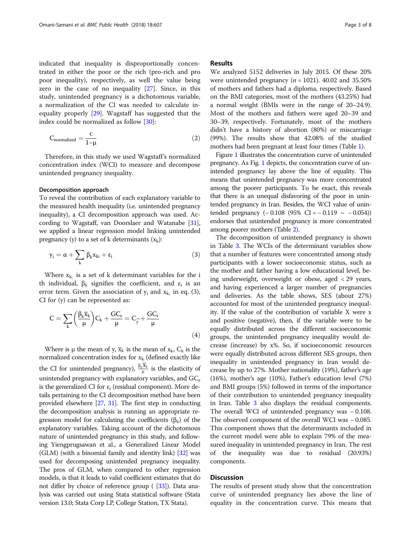indicated that inequality is disproportionally concentrated in either the poor or the rich (pro-rich and pro poor inequality), respectively, as well the value being zero in the case of no inequality [\[27](#page-6-0)]. Since, in this study, unintended pregnancy is a dichotomous variable, a normalization of the CI was needed to calculate inequality properly [[29\]](#page-7-0). Wagstaff has suggested that the index could be normalized as follow [\[30\]](#page-7-0):

$$
C_{normalized} = \frac{c}{1 - \mu} \tag{2}
$$

Therefore, in this study we used Wagstaff's normalized concentration index (WCI) to measure and decompose unintended pregnancy inequality.

#### Decomposition approach

To reveal the contribution of each explanatory variable to the measured health inequality (i.e. unintended pregnancy inequality), a CI decomposition approach was used. According to Wagstaff, van Doorslaer and Watanabe [[31](#page-7-0)], we applied a linear regression model linking unintended pregnancy (y) to a set of k determinants  $(x_k)$ :

$$
y_i = \alpha + \sum_k \beta_k x_{ki} + \epsilon_i \qquad \qquad (3)
$$

Where  $x_{k_i}$  is a set of k determinant variables for the i th individual,  $\beta_k$  signifies the coefficient, and  $\varepsilon_i$  is an error term. Given the association of  $y_i$  and  $x_{k_i}$  in eq. (3), CI for (y) can be represented as:

$$
C = \sum_{k} \left( \frac{\beta_k \overline{x}_k}{\mu} \right) C_k + \frac{GC_{\varepsilon}}{\mu} = C_{\widehat{y}} + \frac{GC_{\varepsilon}}{\mu}
$$
\n(4)

Where is  $\mu$  the mean of y,  $\overline{x}_k$  is the mean of  $x_k$ ,  $C_k$  is the normalized concentration index for  $x_k$  (defined exactly like the CI for unintended pregnancy),  $\frac{\beta_k \overline{X}_k}{\mu}$  is the elasticity of unintended pregnancy with explanatory variables, and  $GC_{\epsilon}$ is the generalized CI for  $\varepsilon_i$  (residual component). More details pertaining to the CI decomposition method have been provided elsewhere [\[27,](#page-6-0) [31](#page-7-0)]. The first step in conducting the decomposition analysis is running an appropriate regression model for calculating the coefficients (β<sub>k</sub>) of the explanatory variables. Taking account of the dichotomous nature of unintended pregnancy in this study, and following Yiengprugsawan et al., a Generalized Linear Model (GLM) (with a binomial family and identity link) [[32](#page-7-0)] was used for decomposing unintended pregnancy inequality. The pros of GLM, when compared to other regression models, is that it leads to valid coefficient estimates that do not differ by choice of reference group ( [\[33\]](#page-7-0)). Data analysis was carried out using Stata statistical software (Stata version 13.0; Stata Corp LP, College Station, TX Stata).

#### Results

We analyzed 5152 deliveries in July 2015. Of these 20% were unintended pregnancy ( $n = 1021$ ). 40.02 and 35.50% of mothers and fathers had a diploma, respectively. Based on the BMI categories, most of the mothers (43.25%) had a normal weight (BMIs were in the range of 20–24.9). Most of the mothers and fathers were aged 20–39 and 30–39, respectively. Fortunately, most of the mothers didn't have a history of abortion (80%) or miscarriage (99%). The results show that 42.08% of the studied mothers had been pregnant at least four times (Table [1](#page-3-0)).

Figure [1](#page-3-0) illustrates the concentration curve of unintended pregnancy. As Fig. [1](#page-3-0) depicts, the concentration curve of unintended pregnancy lay above the line of equality. This means that unintended pregnancy was more concentrated among the poorer participants. To be exact, this reveals that there is an unequal disfavoring of the poor in unintended pregnancy in Iran. Besides, the WCI value of unintended pregnancy  $(-0.108)(95\% \text{ CI} = -0.119 \sim -0.054)$ endorses that unintended pregnancy is more concentrated among poorer mothers (Table [2](#page-4-0)).

The decomposition of unintended pregnancy is shown in Table [3](#page-4-0). The WCIs of the determinant variables show that a number of features were concentrated among study participants with a lower socioeconomic status, such as the mother and father having a low educational level, being underweight, overweight or obese, aged < 29 years, and having experienced a larger number of pregnancies and deliveries. As the table shows, SES (about 27%) accounted for most of the unintended pregnancy inequality. If the value of the contribution of variable X were x and positive (negative), then, if the variable were to be equally distributed across the different socioeconomic groups, the unintended pregnancy inequality would decrease (increase) by x%. So, if socioeconomic resources were equally distributed across different SES groups, then inequality in unintended pregnancy in Iran would decrease by up to 27%. Mother nationality (19%), father's age (16%), mother's age (10%), Father's education level (7%) and BMI groups (5%) followed in terms of the importance of their contribution to unintended pregnancy inequality in Iran. Table [3](#page-4-0) also displays the residual components. The overall WCI of unintended pregnancy was − 0.108. The observed component of the overall WCI was − 0.085. This component shows that the determinants included in the current model were able to explain 79% of the measured inequality in unintended pregnancy in Iran. The rest of the inequality was due to residual (20.93%) components.

## Discussion

The results of present study show that the concentration curve of unintended pregnancy lies above the line of equality in the concentration curve. This means that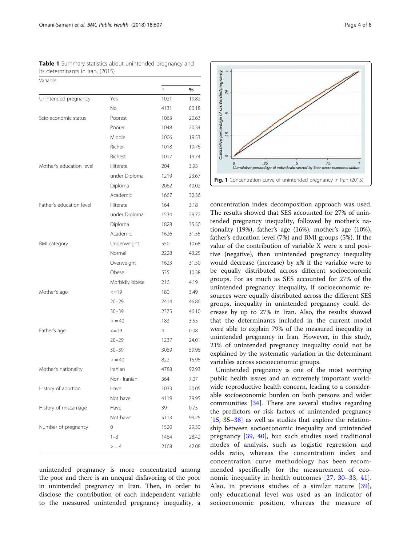$\sqrt{2}$ 

| validule                 |                |                |       |
|--------------------------|----------------|----------------|-------|
|                          |                | n              | %     |
| Unintended pregnancy     | Yes            | 1021           | 19.82 |
|                          | No.            | 4131           | 80.18 |
| Scio-economic status     | Poorest        | 1063           | 20.63 |
|                          | Poorer         | 1048           | 20.34 |
|                          | Middle         | 1006           | 19.53 |
|                          | Richer         | 1018           | 19.76 |
|                          | Richest        | 1017           | 19.74 |
| Mother's education level | Illiterate     | 204            | 3.95  |
|                          | under Diploma  | 1219           | 23.67 |
|                          | Diploma        | 2062           | 40.02 |
|                          | Academic       | 1667           | 32.36 |
| Father's education level | Illiterate     | 164            | 3.18  |
|                          | under Diploma  | 1534           | 29.77 |
|                          | Diploma        | 1828           | 35.50 |
|                          | Academic       | 1626           | 31.55 |
| <b>BMI</b> category      | Underweight    | 550            | 10.68 |
|                          | Normal         | 2228           | 43.25 |
|                          | Overweight     | 1623           | 31.50 |
|                          | Obese          | 535            | 10.38 |
|                          | Morbidly obese | 216            | 4.19  |
| Mother's age             | $\leq$ =19     | 180            | 3.49  |
|                          | $20 - 29$      | 2414           | 46.86 |
|                          | $30 - 39$      | 2375           | 46.10 |
|                          | > 40           | 183            | 3.55  |
| Father's age             | $\leq$ =19     | $\overline{4}$ | 0.08  |
|                          | $20 - 29$      | 1237           | 24.01 |
|                          | $30 - 39$      | 3089           | 59.96 |
|                          | > 40           | 822            | 15.95 |
| Mother's nationality     | Iranian        | 4788           | 92.93 |
|                          | Non- Iranian   | 364            | 7.07  |
| History of abortion      | Have           | 1033           | 20.05 |
|                          | Not have       | 4119           | 79.95 |
| History of miscarriage   | Have           | 39             | 0.75  |
|                          | Not have       | 5113           | 99.25 |
| Number of pregnancy      | 0              | 1520           | 29.50 |
|                          | $1 - 3$        | 1464           | 28.42 |
|                          | $>$ = 4        | 2168           | 42.08 |

<span id="page-3-0"></span>Table 1 Summary statistics about unintended pregnancy and its determinants in Iran, (2015)

unintended pregnancy is more concentrated among the poor and there is an unequal disfavoring of the poor in unintended pregnancy in Iran. Then, in order to disclose the contribution of each independent variable to the measured unintended pregnancy inequality, a



concentration index decomposition approach was used. The results showed that SES accounted for 27% of unintended pregnancy inequality, followed by mother's nationality (19%), father's age (16%), mother's age (10%), father's education level (7%) and BMI groups (5%). If the value of the contribution of variable X were x and positive (negative), then unintended pregnancy inequality would decrease (increase) by x% if the variable were to be equally distributed across different socioeconomic groups. For as much as SES accounted for 27% of the unintended pregnancy inequality, if socioeconomic resources were equally distributed across the different SES groups, inequality in unintended pregnancy could decrease by up to 27% in Iran. Also, the results showed that the determinants included in the current model were able to explain 79% of the measured inequality in unintended pregnancy in Iran. However, in this study, 21% of unintended pregnancy inequality could not be explained by the systematic variation in the determinant variables across socioeconomic groups.

Unintended pregnancy is one of the most worrying public health issues and an extremely important worldwide reproductive health concern, leading to a considerable socioeconomic burden on both persons and wider communities [\[34\]](#page-7-0). There are several studies regarding the predictors or risk factors of unintended pregnancy [[15,](#page-6-0) [35](#page-7-0)–[38](#page-7-0)] as well as studies that explore the relationship between socioeconomic inequality and unintended pregnancy [\[39,](#page-7-0) [40\]](#page-7-0), but such studies used traditional modes of analysis, such as logistic regression and odds ratio, whereas the concentration index and concentration curve methodology has been recommended specifically for the measurement of economic inequality in health outcomes [[27](#page-6-0), [30](#page-7-0)–[33](#page-7-0), [41](#page-7-0)]. Also, in previous studies of a similar nature [[39](#page-7-0)], only educational level was used as an indicator of socioeconomic position, whereas the measure of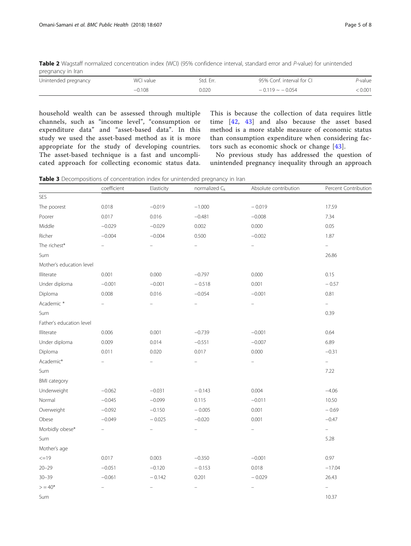<span id="page-4-0"></span>Table 2 Wagstaff normalized concentration index (WCI) (95% confidence interval, standard error and P-value) for unintended pregnancy in Iran

| Unintended pregnancy | WCI value | Std. Err. | 95% Conf. interval for CI | P-value |
|----------------------|-----------|-----------|---------------------------|---------|
|                      | $-0.108$  | 0.020     | $-0.119 - 0.054$          | 0.001   |

household wealth can be assessed through multiple channels, such as "income level", "consumption or expenditure data" and "asset-based data". In this study we used the asset-based method as it is more appropriate for the study of developing countries. The asset-based technique is a fast and uncomplicated approach for collecting economic status data.

This is because the collection of data requires little time [[42](#page-7-0), [43](#page-7-0)] and also because the asset based method is a more stable measure of economic status than consumption expenditure when considering factors such as economic shock or change [\[43](#page-7-0)].

No previous study has addressed the question of unintended pregnancy inequality through an approach

Table 3 Decompositions of concentration index for unintended pregnancy in Iran

|                          | coefficient       | Elasticity               | normalized $C_k$         | Absolute contribution    | Percent Contributior     |
|--------------------------|-------------------|--------------------------|--------------------------|--------------------------|--------------------------|
| SES                      |                   |                          |                          |                          |                          |
| The poorest              | 0.018             | $-0.019$                 | $-1.000$                 | $-0.019$                 | 17.59                    |
| Poorer                   | 0.017             | 0.016                    | $-0.481$                 | $-0.008$                 | 7.34                     |
| Middle                   | $-0.029$          | $-0.029$                 | 0.002                    | 0.000                    | 0.05                     |
| Richer                   | $-0.004$          | $-0.004$                 | 0.500                    | $-0.002$                 | 1.87                     |
| The richest*             | $\equiv$          | $\equiv$                 | $\equiv$                 | $\equiv$                 | $\equiv$                 |
| Sum                      |                   |                          |                          |                          | 26.86                    |
| Mother's education level |                   |                          |                          |                          |                          |
| Illiterate               | 0.001             | 0.000                    | $-0.797$                 | 0.000                    | 0.15                     |
| Under diploma            | $-0.001$          | $-0.001$                 | $-0.518$                 | 0.001                    | $-0.57$                  |
| Diploma                  | 0.008             | 0.016                    | $-0.054$                 | $-0.001$                 | 0.81                     |
| Academic *               |                   |                          | $\overline{\phantom{0}}$ | $\overline{\phantom{0}}$ | $\equiv$                 |
| Sum                      |                   |                          |                          |                          | 0.39                     |
| Father's education level |                   |                          |                          |                          |                          |
| Illiterate               | 0.006             | 0.001                    | $-0.739$                 | $-0.001$                 | 0.64                     |
| Under diploma            | 0.009             | 0.014                    | $-0.551$                 | $-0.007$                 | 6.89                     |
| Diploma                  | 0.011             | 0.020                    | 0.017                    | 0.000                    | $-0.31$                  |
| Academic*                | $\overline{a}$    | $\overline{a}$           | $\overline{\phantom{0}}$ | $\equiv$                 | $\overline{\phantom{0}}$ |
| Sum                      |                   |                          |                          |                          | 7.22                     |
| <b>BMI</b> category      |                   |                          |                          |                          |                          |
| Underweight              | $-0.062$          | $-0.031$                 | $-0.143$                 | 0.004                    | $-4.06$                  |
| Normal                   | $-0.045$          | $-0.099$                 | 0.115                    | $-0.011$                 | 10.50                    |
| Overweight               | $-0.092$          | $-0.150$                 | $-0.005$                 | 0.001                    | $-0.69$                  |
| Obese                    | $-0.049$          | $-0.025$                 | $-0.020$                 | 0.001                    | $-0.47$                  |
| Morbidly obese*          | $\equiv$          | $\overline{\phantom{0}}$ | $\equiv$                 | $\equiv$                 | $\equiv$                 |
| Sum                      |                   |                          |                          |                          | 5.28                     |
| Mother's age             |                   |                          |                          |                          |                          |
| $=19$                    | 0.017             | 0.003                    | $-0.350$                 | $-0.001$                 | 0.97                     |
| $20 - 29$                | $-0.051$          | $-0.120$                 | $-0.153$                 | 0.018                    | $-17.04$                 |
| $30 - 39$                | $-0.061$          | $-0.142$                 | 0.201                    | $-0.029$                 | 26.43                    |
| $> 40*$                  | $\qquad \qquad -$ | $\overline{\phantom{0}}$ | $\equiv$                 | $\equiv$                 | $\overline{a}$           |
| Sum                      |                   |                          |                          |                          | 10.37                    |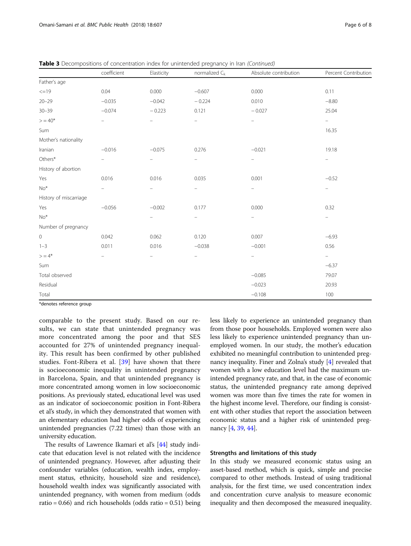|  | . uga o a |  |
|--|-----------|--|
|  |           |  |
|  |           |  |

|                        | coefficient              | Elasticity               | normalized $C_k$         | Absolute contribution    | Percent Contribution     |
|------------------------|--------------------------|--------------------------|--------------------------|--------------------------|--------------------------|
| Father's age           |                          |                          |                          |                          |                          |
| $\leq$ =19             | 0.04                     | 0.000                    | $-0.607$                 | 0.000                    | 0.11                     |
| $20 - 29$              | $-0.035$                 | $-0.042$                 | $-0.224$                 | 0.010                    | $-8.80$                  |
| $30 - 39$              | $-0.074$                 | $-0.223$                 | 0.121                    | $-0.027$                 | 25.04                    |
| $> 40*$                | $\overline{\phantom{0}}$ | ÷                        | $\frac{1}{2}$            | ÷                        | $\overline{\phantom{a}}$ |
| Sum                    |                          |                          |                          |                          | 16.35                    |
| Mother's nationality   |                          |                          |                          |                          |                          |
| Iranian                | $-0.016$                 | $-0.075$                 | 0.276                    | $-0.021$                 | 19.18                    |
| $Others*$              | $\overline{\phantom{0}}$ | ÷                        | $\frac{1}{2}$            | -                        | $\overline{\phantom{m}}$ |
| History of abortion    |                          |                          |                          |                          |                          |
| Yes                    | 0.016                    | 0.016                    | 0.035                    | 0.001                    | $-0.52$                  |
| $No*$                  | $\overline{\phantom{0}}$ | $\overline{\phantom{0}}$ | $\frac{1}{2}$            | -                        | $\qquad \qquad -$        |
| History of miscarriage |                          |                          |                          |                          |                          |
| Yes                    | $-0.056$                 | $-0.002$                 | 0.177                    | 0.000                    | 0.32                     |
| $No*$                  |                          | $\overline{\phantom{a}}$ | $\equiv$                 | $\overline{\phantom{m}}$ | $\overline{\phantom{a}}$ |
| Number of pregnancy    |                          |                          |                          |                          |                          |
| $\,0\,$                | 0.042                    | 0.062                    | 0.120                    | 0.007                    | $-6.93$                  |
| $1 - 3$                | 0.011                    | 0.016                    | $-0.038$                 | $-0.001$                 | 0.56                     |
| $> 4*$                 | $\overline{\phantom{0}}$ | $\overline{\phantom{0}}$ | $\overline{\phantom{0}}$ | -                        | $\equiv$                 |
| Sum                    |                          |                          |                          |                          | $-6.37$                  |
| Total observed         |                          |                          |                          | $-0.085$                 | 79.07                    |
| Residual               |                          |                          |                          | $-0.023$                 | 20.93                    |
| Total                  |                          |                          |                          | $-0.108$                 | 100                      |

**Table 3** Decompositions of concentration index for unintended pregnancy in Iran (Continued)

\*denotes reference group

comparable to the present study. Based on our results, we can state that unintended pregnancy was more concentrated among the poor and that SES accounted for 27% of unintended pregnancy inequality. This result has been confirmed by other published studies. Font-Ribera et al. [[39\]](#page-7-0) have shown that there is socioeconomic inequality in unintended pregnancy in Barcelona, Spain, and that unintended pregnancy is more concentrated among women in low socioeconomic positions. As previously stated, educational level was used as an indicator of socioeconomic position in Font-Ribera et al's study, in which they demonstrated that women with an elementary education had higher odds of experiencing unintended pregnancies (7.22 times) than those with an university education.

The results of Lawrence Ikamari et al's [\[44](#page-7-0)] study indicate that education level is not related with the incidence of unintended pregnancy. However, after adjusting their confounder variables (education, wealth index, employment status, ethnicity, household size and residence), household wealth index was significantly associated with unintended pregnancy, with women from medium (odds ratio =  $0.66$ ) and rich households (odds ratio =  $0.51$ ) being less likely to experience an unintended pregnancy than from those poor households. Employed women were also less likely to experience unintended pregnancy than unemployed women. In our study, the mother's education exhibited no meaningful contribution to unintended pregnancy inequality. Finer and Zolna's study [[4\]](#page-6-0) revealed that women with a low education level had the maximum unintended pregnancy rate, and that, in the case of economic status, the unintended pregnancy rate among deprived women was more than five times the rate for women in the highest income level. Therefore, our finding is consistent with other studies that report the association between economic status and a higher risk of unintended pregnancy [\[4,](#page-6-0) [39](#page-7-0), [44\]](#page-7-0).

## Strengths and limitations of this study

In this study we measured economic status using an asset-based method, which is quick, simple and precise compared to other methods. Instead of using traditional analysis, for the first time, we used concentration index and concentration curve analysis to measure economic inequality and then decomposed the measured inequality.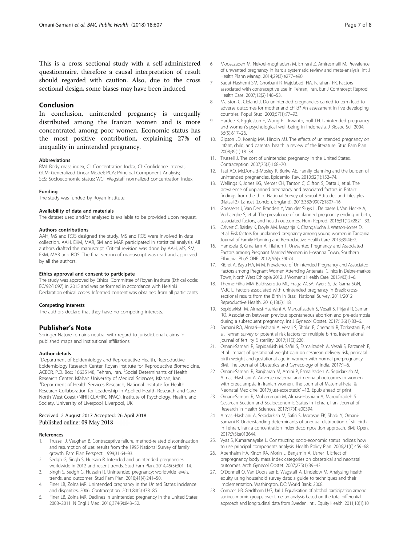<span id="page-6-0"></span>This is a cross sectional study with a self-administered questionnaire, therefore a causal interpretation of result should regarded with caution. Also, due to the cross sectional design, some biases may have been induced.

## Conclusion

In conclusion, unintended pregnancy is unequally distributed among the Iranian women and is more concentrated among poor women. Economic status has the most positive contribution, explaining 27% of inequality in unintended pregnancy.

#### **Abbreviations**

BMI: Body mass index; CI: Concentration Index; CI: Confidence interval; GLM: Generalized Linear Model; PCA: Principal Component Analysis; SES: Socioeconomic status; WCI: Wagstaff normalized concentration index

#### Funding

The study was funded by Royan Institute.

#### Availability of data and materials

The dataset used and/or analysed is available to be provided upon request.

#### Authors contributions

AAH, MS and ROS designed the study. MS and ROS were involved in data collection. AAH, EKM, MAR, SM and MAR participated in statistical analysis. All authors drafted the manuscript. Critical revision was done by AAH, MS, SM, EKM, MAR and ROS. The final version of manuscript was read and approved by all the authors.

#### Ethics approval and consent to participate

The study was approved by Ethical Committee of Royan Institute (Ethical code: EC/92/1097) in 2015 and was performed in accordance with Helsinki Declaration ethical codes. Informed consent was obtained from all participants.

#### Competing interests

The authors declare that they have no competing interests.

## Publisher's Note

Springer Nature remains neutral with regard to jurisdictional claims in published maps and institutional affiliations.

#### Author details

<sup>1</sup>Department of Epidemiology and Reproductive Health, Reproductive Epidemiology Research Center, Royan Institute for Reproductive Biomedicine, ACECR, P.O. Box: 16635148, Tehran, Iran. <sup>2</sup> Social Determinants of Health Research Center, Isfahan University of Medical Sciences, Isfahan, Iran. <sup>3</sup>Department of Health Services Research, National Institute for Health Research Collaboration for Leadership in Applied Health Research and Care North West Coast (NIHR CLAHRC NWC), Institute of Psychology, Health, and Society, University of Liverpool, Liverpool, UK.

#### Received: 2 August 2017 Accepted: 26 April 2018 Published online: 09 May 2018

#### References

- 1. Trussell J, Vaughan B. Contraceptive failure, method-related discontinuation and resumption of use: results from the 1995 National Survey of family growth. Fam Plan Perspect. 1999;31:64–93.
- 2. Sedgh G, Singh S, Hussain R. Intended and unintended pregnancies worldwide in 2012 and recent trends. Stud Fam Plan. 2014;45(3):301–14.
- 3. Singh S, Sedgh G, Hussain R. Unintended pregnancy: worldwide levels, trends, and outcomes. Stud Fam Plan. 2010;41(4):241–50.
- 4. Finer LB, Zolna MR. Unintended pregnancy in the United States: incidence and disparities, 2006. Contraception. 2011;84(5):478–85.
- 5. Finer LB, Zolna MR. Declines in unintended pregnancy in the United States, 2008–2011. N Engl J Med. 2016;374(9):843–52.
- 6. Moosazadeh M, Nekoei-moghadam M, Emrani Z, Amiresmaili M. Prevalence of unwanted pregnancy in Iran: a systematic review and meta-analysis. Int J Health Plann Manag. 2014;29(3):e277–e90.
- 7. Sadat-Hashemi SM, Ghorbani R, Majdabadi HA, Farahani FK. Factors associated with contraceptive use in Tehran, Iran. Eur J Contracept Reprod Health Care. 2007;12(2):148–53.
- 8. Marston C, Cleland J. Do unintended pregnancies carried to term lead to adverse outcomes for mother and child? An assessment in five developing countries. Popul Stud. 2003;57(1):77–93.
- 9. Hardee K, Eggleston E, Wong EL. Irwanto, hull TH. Unintended pregnancy and women's psychological well-being in Indonesia. J Biosoc Sci. 2004; 36(5):617–26.
- 10. Gipson JD, Koenig MA, Hindin MJ. The effects of unintended pregnancy on infant, child, and parental health: a review of the literature. Stud Fam Plan. 2008;39(1):18–38.
- 11. Trussell J. The cost of unintended pregnancy in the United States. Contraception. 2007;75(3):168–70.
- 12. Tsui AO, McDonald-Mosley R, Burke AE. Family planning and the burden of unintended pregnancies. Epidemiol Rev. 2010;32(1):152–74.
- 13. Wellings K, Jones KG, Mercer CH, Tanton C, Clifton S, Datta J, et al. The prevalence of unplanned pregnancy and associated factors in Britain: findings from the third National Survey of Sexual Attitudes and Lifestyles (Natsal-3). Lancet (London, England). 2013;382(9907):1807–16.
- 14. Goossens J, Van Den Branden Y, Van der Sluys L, Delbaere I, Van Hecke A, Verhaeghe S, et al. The prevalence of unplanned pregnancy ending in birth, associated factors, and health outcomes. Hum Reprod. 2016;31(12):2821–33.
- 15. Calvert C, Baisley K, Doyle AM, Maganja K, Changalucha J, Watson-Jones D, et al. Risk factors for unplanned pregnancy among young women in Tanzania. Journal of Family Planning and Reproductive Health Care. 2013;39(4):e2.
- 16. Hamdela B, Gmariam A, Tilahun T. Unwanted Pregnancy and Associated Factors among Pregnant Married Women in Hosanna Town, Southern Ethiopia. PLoS ONE. 2012;7(6):e39074.
- 17. Kibret A, Bayu HA, M M. Prevalence of Unintended Pregnancy and Associated Factors among Pregnant Women Attending Antenatal Clinics in Debre-markos Town, North West Ethiopia 2012. J Women's Health Care. 2015;4(3):1–6.
- 18. Theme-Filha MM, Baldisserotto ML, Fraga ACSA, Ayers S, da Gama SGN, MdC L. Factors associated with unintended pregnancy in Brazil: crosssectional results from the Birth in Brazil National Survey, 2011/2012. Reproductive Health. 2016;13(3):118.
- 19. Sepidarkish M, Almasi-Hashiani A, Maroufizadeh S, Vesali S, Pirjani R, Samani RO. Association between previous spontaneous abortion and pre-eclampsia during a subsequent pregnancy. Int J Gynecol Obstet. 2017;136(1):83–6.
- 20. Samani RO, Almasi-Hashiani A, Vesali S, Shokri F, Cheraghi R, Torkestani F, et al. Tehran survey of potential risk factors for multiple births. International journal of fertility & sterility. 2017;11(3):220.
- 21. Omani-Samani R, Sepidarkish M, Safiri S, Esmailzadeh A, Vesali S, Farzaneh F, et al. Impact of gestational weight gain on cesarean delivery risk, perinatal birth weight and gestational age in women with normal pre-pregnancy BMI. The Journal of Obstetrics and Gynecology of India. 2017:1–6.
- 22. Omani-Samani R, Ranjbaran M, Amini P, Esmailzadeh A, Sepidarkish M, Almasi-Hashiani A. Adverse maternal and neonatal outcomes in women with preeclampsia in Iranian women. The Journal of Maternal-Fetal & Neonatal Medicine. 2017;(just-accepted):1–13. Epub ahead of print
- 23. Omani-Samani R, Mohammadi M, Almasi-Hashiani A, Maroufizadeh S. Cesarean Section and Socioeconomic Status in Tehran, Iran. Journal of Research in Health Sciences. 2017;17(4):e00394.
- 24. Almasi-Hashiani A, Sepidarkish M, Safiri S, Morasae EK, Shadi Y, Omani-Samani R. Understanding determinants of unequal distribution of stillbirth in Tehran, Iran: a concentration index decomposition approach. BMJ Open. 2017;7(5):e013644.
- 25. Vyas S, Kumaranayake L. Constructing socio-economic status indices: how to use principal components analysis. Health Policy Plan. 2006;21(6):459–68.
- 26. Abenhaim HA, Kinch RA, Morin L, Benjamin A, Usher R. Effect of prepregnancy body mass index categories on obstetrical and neonatal outcomes. Arch Gynecol Obstet. 2007;275(1):39–43.
- 27. O'Donnell O, Van Doorslaer E, Wagstaff A, Lindelow M. Analyzing health equity using household survey data: a guide to techniques and their implementation. Washington, DC: World Bank; 2008.
- 28. Combes J-B, Gerdtham U-G, Jarl J. Equalisation of alcohol participation among socioeconomic groups over time: an analysis based on the total differential approach and longitudinal data from Sweden. Int J Equity Health. 2011;10(1):10.